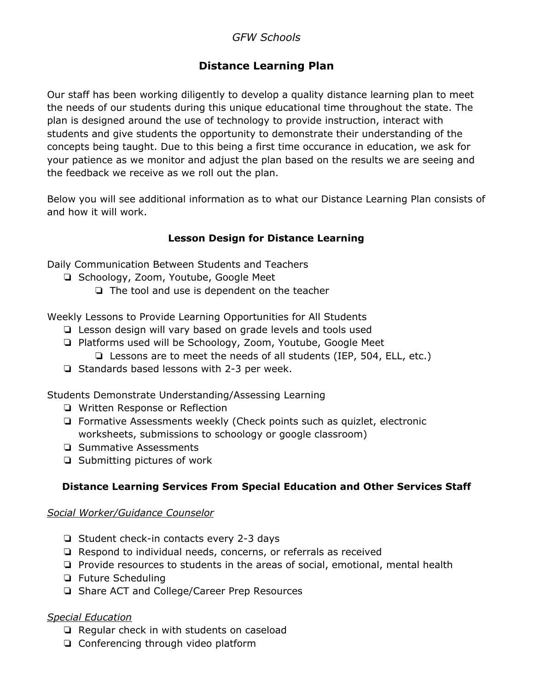# *GFW Schools*

# **Distance Learning Plan**

Our staff has been working diligently to develop a quality distance learning plan to meet the needs of our students during this unique educational time throughout the state. The plan is designed around the use of technology to provide instruction, interact with students and give students the opportunity to demonstrate their understanding of the concepts being taught. Due to this being a first time occurance in education, we ask for your patience as we monitor and adjust the plan based on the results we are seeing and the feedback we receive as we roll out the plan.

Below you will see additional information as to what our Distance Learning Plan consists of and how it will work.

## **Lesson Design for Distance Learning**

Daily Communication Between Students and Teachers

- ❏ Schoology, Zoom, Youtube, Google Meet
	- ❏ The tool and use is dependent on the teacher

Weekly Lessons to Provide Learning Opportunities for All Students

- ❏ Lesson design will vary based on grade levels and tools used
- ❏ Platforms used will be Schoology, Zoom, Youtube, Google Meet ❏ Lessons are to meet the needs of all students (IEP, 504, ELL, etc.)
- ❏ Standards based lessons with 2-3 per week.

Students Demonstrate Understanding/Assessing Learning

- ❏ Written Response or Reflection
- ❏ Formative Assessments weekly (Check points such as quizlet, electronic worksheets, submissions to schoology or google classroom)
- ❏ Summative Assessments
- ❏ Submitting pictures of work

## **Distance Learning Services From Special Education and Other Services Staff**

#### *Social Worker/Guidance Counselor*

- ❏ Student check-in contacts every 2-3 days
- ❏ Respond to individual needs, concerns, or referrals as received
- ❏ Provide resources to students in the areas of social, emotional, mental health
- ❏ Future Scheduling
- ❏ Share ACT and College/Career Prep Resources

#### *Special Education*

- ❏ Regular check in with students on caseload
- ❏ Conferencing through video platform